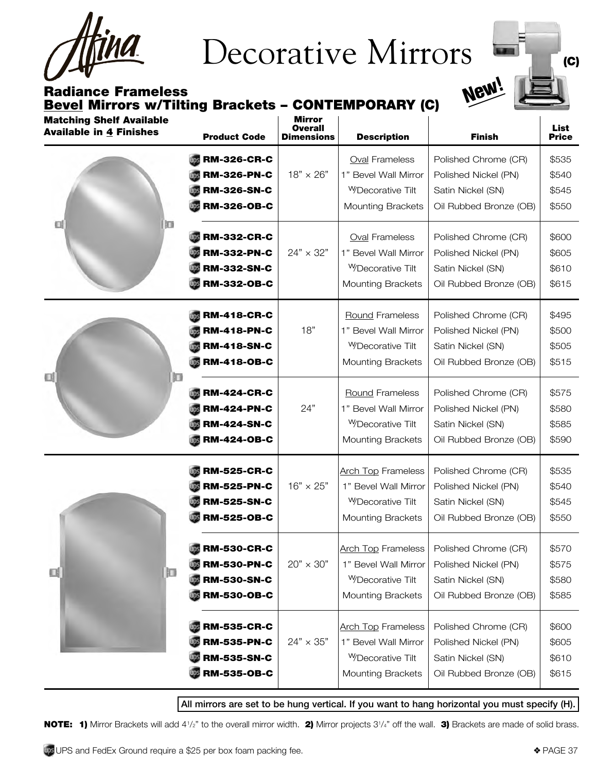<u>THA</u>

# Decorative Mirrors  $\blacksquare$

Radiance Frameless Bevel Mirrors w/Tilting Brackets - CONTEMPORARY (C)



| <b>Matching Shelf Available</b><br><b>Available in 4 Finishes</b> | <b>Product Code</b>                                                                  | Mirror<br><b>Overall</b><br><b>Dimensions</b> | <b>Description</b>                                                                                            | <b>Finish</b>                                                                               | List<br><b>Price</b>             |
|-------------------------------------------------------------------|--------------------------------------------------------------------------------------|-----------------------------------------------|---------------------------------------------------------------------------------------------------------------|---------------------------------------------------------------------------------------------|----------------------------------|
| 떼<br>łΩ                                                           | <b>RM-326-CR-C</b><br><b>RM-326-PN-C</b><br><b>RM-326-SN-C</b><br><b>RM-326-OB-C</b> | $18" \times 26"$                              | <b>Oval Frameless</b><br>1" Bevel Wall Mirror<br><sup>W</sup> Decorative Tilt<br><b>Mounting Brackets</b>     | Polished Chrome (CR)<br>Polished Nickel (PN)<br>Satin Nickel (SN)<br>Oil Rubbed Bronze (OB) | \$535<br>\$540<br>\$545<br>\$550 |
|                                                                   | <b>RM-332-CR-C</b><br><b>RM-332-PN-C</b><br><b>RM-332-SN-C</b><br><b>RM-332-OB-C</b> | $24" \times 32"$                              | <b>Oval Frameless</b><br>1" Bevel Wall Mirror<br><sup>W</sup> Decorative Tilt<br><b>Mounting Brackets</b>     | Polished Chrome (CR)<br>Polished Nickel (PN)<br>Satin Nickel (SN)<br>Oil Rubbed Bronze (OB) | \$600<br>\$605<br>\$610<br>\$615 |
| Q<br>肛                                                            | <b>RM-418-CR-C</b><br><b>RM-418-PN-C</b><br><b>RM-418-SN-C</b><br><b>RM-418-OB-C</b> | 18"                                           | <b>Round Frameless</b><br>1" Bevel Wall Mirror<br><sup>W</sup> Decorative Tilt<br><b>Mounting Brackets</b>    | Polished Chrome (CR)<br>Polished Nickel (PN)<br>Satin Nickel (SN)<br>Oil Rubbed Bronze (OB) | \$495<br>\$500<br>\$505<br>\$515 |
|                                                                   | <b>RM-424-CR-C</b><br><b>RM-424-PN-C</b><br><b>RM-424-SN-C</b><br><b>RM-424-OB-C</b> | 24"                                           | <b>Round Frameless</b><br>1" Bevel Wall Mirror<br><sup>W</sup> Decorative Tilt<br><b>Mounting Brackets</b>    | Polished Chrome (CR)<br>Polished Nickel (PN)<br>Satin Nickel (SN)<br>Oil Rubbed Bronze (OB) | \$575<br>\$580<br>\$585<br>\$590 |
| 肛<br>Œ                                                            | <b>RM-525-CR-C</b><br><b>RM-525-PN-C</b><br><b>RM-525-SN-C</b><br><b>RM-525-OB-C</b> | $16" \times 25"$                              | <b>Arch Top Frameless</b><br>1" Bevel Wall Mirror<br><sup>W</sup> Decorative Tilt<br><b>Mounting Brackets</b> | Polished Chrome (CR)<br>Polished Nickel (PN)<br>Satin Nickel (SN)<br>Oil Rubbed Bronze (OB) | \$535<br>\$540<br>\$545<br>\$550 |
|                                                                   | <b>RM-530-CR-C</b><br><b>RM-530-PN-C</b><br><b>RM-530-SN-C</b><br><b>RM-530-OB-C</b> | $20" \times 30"$                              | <b>Arch Top Frameless</b><br>1" Bevel Wall Mirror<br><sup>W</sup> Decorative Tilt<br><b>Mounting Brackets</b> | Polished Chrome (CR)<br>Polished Nickel (PN)<br>Satin Nickel (SN)<br>Oil Rubbed Bronze (OB) | \$570<br>\$575<br>\$580<br>\$585 |
|                                                                   | <b>RM-535-CR-C</b><br><b>RM-535-PN-C</b><br><b>RM-535-SN-C</b><br><b>RM-535-OB-C</b> | $24" \times 35"$                              | <b>Arch Top Frameless</b><br>1" Bevel Wall Mirror<br><b>WDecorative Tilt</b><br><b>Mounting Brackets</b>      | Polished Chrome (CR)<br>Polished Nickel (PN)<br>Satin Nickel (SN)<br>Oil Rubbed Bronze (OB) | \$600<br>\$605<br>\$610<br>\$615 |

All mirrors are set to be hung vertical. If you want to hang horizontal you must specify (H).

NOTE: 1) Mirror Brackets will add 4<sup>1</sup>/<sub>2</sub>" to the overall mirror width. 2) Mirror projects 3<sup>1</sup>/4" off the wall. 3) Brackets are made of solid brass.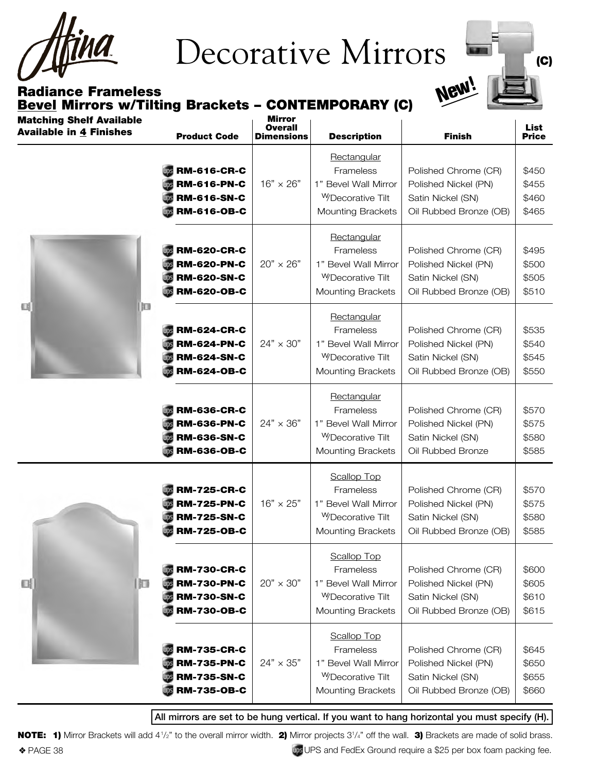THA

### Decorative Mirrors



#### Radiance Frameless Bevel Mirrors w/Tilting Brackets - CONTEMPORARY (C)

| <b>Matching Shelf Available</b><br><b>Available in 4 Finishes</b> | <b>Product Code</b>                                                                  | <b>Mirror</b><br><b>Overall</b><br><b>Dimensions</b> | <b>Description</b>                                                                                                  | <b>Finish</b>                                                                               | <b>List</b><br><b>Price</b>      |
|-------------------------------------------------------------------|--------------------------------------------------------------------------------------|------------------------------------------------------|---------------------------------------------------------------------------------------------------------------------|---------------------------------------------------------------------------------------------|----------------------------------|
| 티<br>腘                                                            | <b>RM-616-CR-C</b><br><b>RM-616-PN-C</b><br><b>RM-616-SN-C</b><br><b>RM-616-OB-C</b> | $16" \times 26"$                                     | Rectangular<br>Frameless<br>1" Bevel Wall Mirror<br><sup>W</sup> Decorative Tilt<br><b>Mounting Brackets</b>        | Polished Chrome (CR)<br>Polished Nickel (PN)<br>Satin Nickel (SN)<br>Oil Rubbed Bronze (OB) | \$450<br>\$455<br>\$460<br>\$465 |
|                                                                   | <b>RM-620-CR-C</b><br><b>RM-620-PN-C</b><br><b>RM-620-SN-C</b><br><b>RM-620-OB-C</b> | $20" \times 26"$                                     | Rectangular<br>Frameless<br>1" Bevel Wall Mirror<br><sup>W</sup> Decorative Tilt<br><b>Mounting Brackets</b>        | Polished Chrome (CR)<br>Polished Nickel (PN)<br>Satin Nickel (SN)<br>Oil Rubbed Bronze (OB) | \$495<br>\$500<br>\$505<br>\$510 |
|                                                                   | <b>RM-624-CR-C</b><br><b>RM-624-PN-C</b><br><b>RM-624-SN-C</b><br><b>RM-624-OB-C</b> | $24" \times 30"$                                     | Rectangular<br>Frameless<br>1" Bevel Wall Mirror<br><sup>W</sup> Decorative Tilt<br><b>Mounting Brackets</b>        | Polished Chrome (CR)<br>Polished Nickel (PN)<br>Satin Nickel (SN)<br>Oil Rubbed Bronze (OB) | \$535<br>\$540<br>\$545<br>\$550 |
|                                                                   | <b>RM-636-CR-C</b><br><b>RM-636-PN-C</b><br><b>RM-636-SN-C</b><br><b>RM-636-OB-C</b> | $24" \times 36"$                                     | Rectangular<br>Frameless<br>1" Bevel Wall Mirror<br><sup>W</sup> Decorative Tilt<br><b>Mounting Brackets</b>        | Polished Chrome (CR)<br>Polished Nickel (PN)<br>Satin Nickel (SN)<br>Oil Rubbed Bronze      | \$570<br>\$575<br>\$580<br>\$585 |
| u<br>肛                                                            | <b>RM-725-CR-C</b><br><b>RM-725-PN-C</b><br><b>RM-725-SN-C</b><br><b>RM-725-OB-C</b> | $16" \times 25"$                                     | <b>Scallop Top</b><br>Frameless<br>1" Bevel Wall Mirror<br><sup>W</sup> Decorative Tilt<br><b>Mounting Brackets</b> | Polished Chrome (CR)<br>Polished Nickel (PN)<br>Satin Nickel (SN)<br>Oil Rubbed Bronze (OB) | \$570<br>\$575<br>\$580<br>\$585 |
|                                                                   | <b>RM-730-CR-C</b><br><b>RM-730-PN-C</b><br><b>RM-730-SN-C</b><br><b>RM-730-OB-C</b> | $20" \times 30"$                                     | <b>Scallop Top</b><br>Frameless<br>1" Bevel Wall Mirror<br>WDecorative Tilt<br><b>Mounting Brackets</b>             | Polished Chrome (CR)<br>Polished Nickel (PN)<br>Satin Nickel (SN)<br>Oil Rubbed Bronze (OB) | \$600<br>\$605<br>\$610<br>\$615 |
|                                                                   | <b>RM-735-CR-C</b><br><b>RM-735-PN-C</b><br><b>RM-735-SN-C</b><br><b>RM-735-OB-C</b> | $24" \times 35"$                                     | <b>Scallop Top</b><br>Frameless<br>1" Bevel Wall Mirror<br><sup>W</sup> Decorative Tilt<br><b>Mounting Brackets</b> | Polished Chrome (CR)<br>Polished Nickel (PN)<br>Satin Nickel (SN)<br>Oil Rubbed Bronze (OB) | \$645<br>\$650<br>\$655<br>\$660 |

#### All mirrors are set to be hung vertical. If you want to hang horizontal you must specify (H).

◆ PAGE 38 v PAGE 38 v PAGE 38 v PAGE 38 v PAGE 38 v PAGE 38 per box foam packing fee. NOTE: 1) Mirror Brackets will add 4<sup>1</sup>/<sub>2</sub>" to the overall mirror width. 2) Mirror projects 3<sup>1</sup>/4" off the wall. 3) Brackets are made of solid brass.